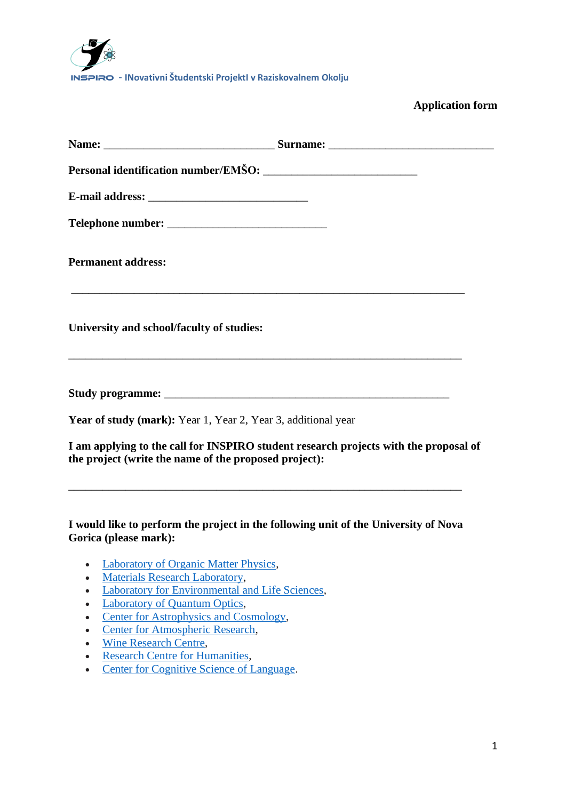

## **Application form**

| <b>Permanent address:</b>                                     |                                                                                      |
|---------------------------------------------------------------|--------------------------------------------------------------------------------------|
| University and school/faculty of studies:                     |                                                                                      |
|                                                               |                                                                                      |
| Year of study (mark): Year 1, Year 2, Year 3, additional year |                                                                                      |
| the project (write the name of the proposed project):         | I am applying to the call for INSPIRO student research projects with the proposal of |

**I would like to perform the project in the following unit of the University of Nova Gorica (please mark):**

\_\_\_\_\_\_\_\_\_\_\_\_\_\_\_\_\_\_\_\_\_\_\_\_\_\_\_\_\_\_\_\_\_\_\_\_\_\_\_\_\_\_\_\_\_\_\_\_\_\_\_\_\_\_\_\_\_\_\_\_\_\_\_\_\_\_\_\_\_

- Laboratory of [Organic Matter Physics,](https://www.ung.si/en/research/laboratory-of-organic-matter-physics/)
- [Materials Research Laboratory,](https://www.ung.si/en/research/materials-research-laboratory/)
- [Laboratory for Environmental and Life Sciences,](https://www.ung.si/en/research/laboratory-for-environmental-and-life-sciences/)
- [Laboratory of Quantum Optics,](https://www.ung.si/en/research/laboratory-of-quantum-optics/)
- [Center for Astrophysics and Cosmology,](https://www.ung.si/en/research/cac/)
- [Center for Atmospheric Research,](https://www.ung.si/en/research/center-for-atmospheric-research/)
- [Wine Research Centre,](https://www.ung.si/en/research/wine-research-centre/)
- [Research Centre for Humanities,](https://www.ung.si/en/research/research-centre-for-humanities/)
- [Center for Cognitive Science of Language.](https://www.ung.si/en/research/center-for-cognitive-science-of-language/)